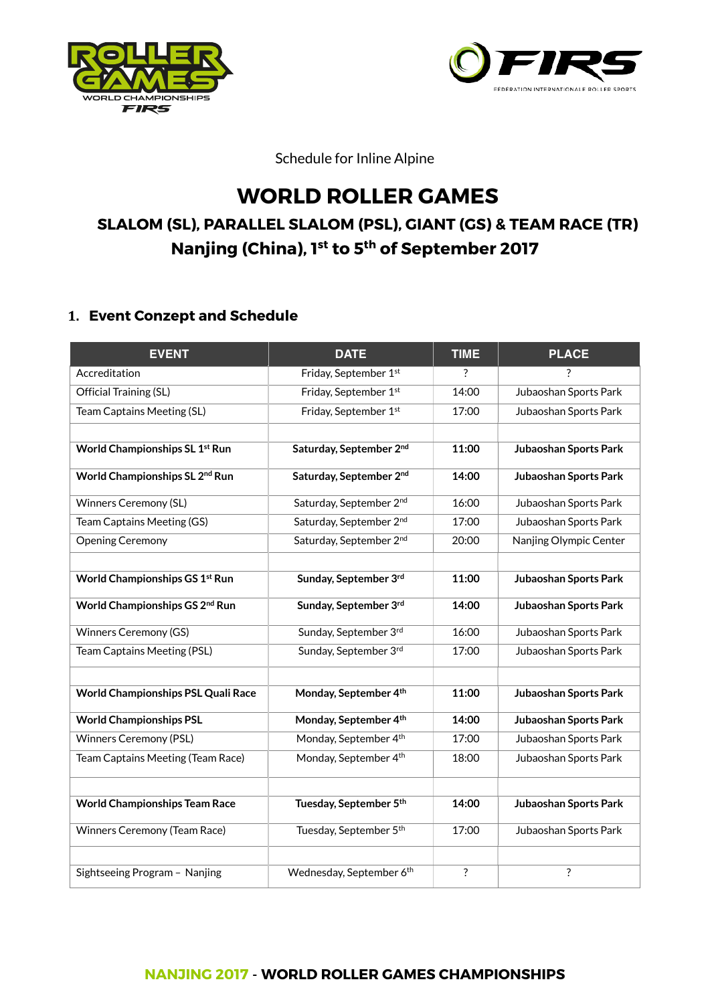



Schedule for Inline Alpine

# **WORLD ROLLER GAMES SLALOM (SL), PARALLEL SLALOM (PSL), GIANT (GS) & TEAM RACE (TR) Nanjing (China), 1st to 5th of September 2017**

# **1. Event Conzept and Schedule**

| <b>EVENT</b>                               | <b>DATE</b>              | <b>TIME</b> | <b>PLACE</b>           |
|--------------------------------------------|--------------------------|-------------|------------------------|
| Accreditation                              | Friday, September 1st    | ?           | ?                      |
| Official Training (SL)                     | Friday, September 1st    | 14:00       | Jubaoshan Sports Park  |
| Team Captains Meeting (SL)                 | Friday, September 1st    | 17:00       | Jubaoshan Sports Park  |
|                                            |                          |             |                        |
| World Championships SL 1st Run             | Saturday, September 2nd  | 11:00       | Jubaoshan Sports Park  |
| World Championships SL 2 <sup>nd</sup> Run | Saturday, September 2nd  | 14:00       | Jubaoshan Sports Park  |
| <b>Winners Ceremony (SL)</b>               | Saturday, September 2nd  | 16:00       | Jubaoshan Sports Park  |
| Team Captains Meeting (GS)                 | Saturday, September 2nd  | 17:00       | Jubaoshan Sports Park  |
| <b>Opening Ceremony</b>                    | Saturday, September 2nd  | 20:00       | Nanjing Olympic Center |
|                                            |                          |             |                        |
| World Championships GS 1st Run             | Sunday, September 3rd    | 11:00       | Jubaoshan Sports Park  |
| World Championships GS 2 <sup>nd</sup> Run | Sunday, September 3rd    | 14:00       | Jubaoshan Sports Park  |
| <b>Winners Ceremony (GS)</b>               | Sunday, September 3rd    | 16:00       | Jubaoshan Sports Park  |
| Team Captains Meeting (PSL)                | Sunday, September 3rd    | 17:00       | Jubaoshan Sports Park  |
|                                            |                          |             |                        |
| World Championships PSL Quali Race         | Monday, September 4th    | 11:00       | Jubaoshan Sports Park  |
| <b>World Championships PSL</b>             | Monday, September 4th    | 14:00       | Jubaoshan Sports Park  |
| <b>Winners Ceremony (PSL)</b>              | Monday, September 4th    | 17:00       | Jubaoshan Sports Park  |
| Team Captains Meeting (Team Race)          | Monday, September 4th    | 18:00       | Jubaoshan Sports Park  |
|                                            |                          |             |                        |
| <b>World Championships Team Race</b>       | Tuesday, September 5th   | 14:00       | Jubaoshan Sports Park  |
| Winners Ceremony (Team Race)               | Tuesday, September 5th   | 17:00       | Jubaoshan Sports Park  |
|                                            |                          |             |                        |
| Sightseeing Program - Nanjing              | Wednesday, September 6th | $\ddot{?}$  | ?                      |